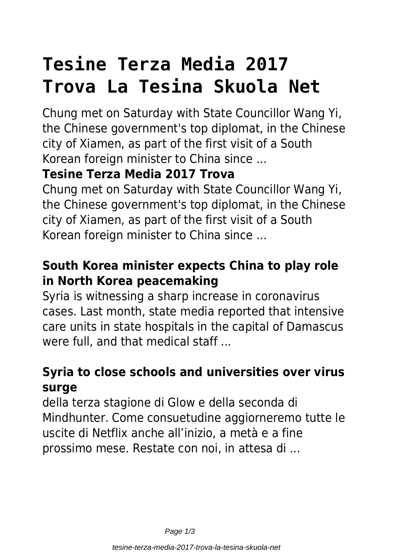# **Tesine Terza Media 2017 Trova La Tesina Skuola Net**

Chung met on Saturday with State Councillor Wang Yi, the Chinese government's top diplomat, in the Chinese city of Xiamen, as part of the first visit of a South Korean foreign minister to China since ...

### **Tesine Terza Media 2017 Trova**

Chung met on Saturday with State Councillor Wang Yi, the Chinese government's top diplomat, in the Chinese city of Xiamen, as part of the first visit of a South Korean foreign minister to China since ...

### **South Korea minister expects China to play role in North Korea peacemaking**

Syria is witnessing a sharp increase in coronavirus cases. Last month, state media reported that intensive care units in state hospitals in the capital of Damascus were full, and that medical staff...

### **Syria to close schools and universities over virus surge**

della terza stagione di Glow e della seconda di Mindhunter. Come consuetudine aggiorneremo tutte le uscite di Netflix anche all'inizio, a metà e a fine prossimo mese. Restate con noi, in attesa di ...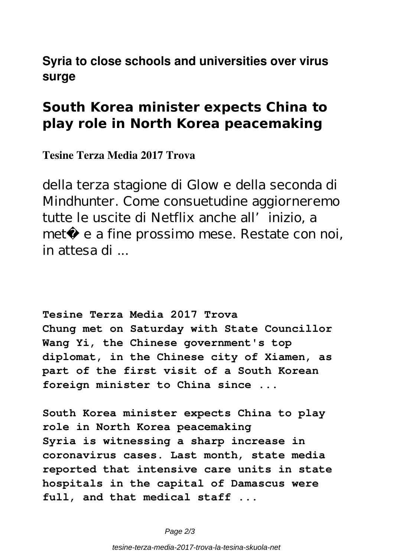#### **Syria to close schools and universities over virus surge**

## **South Korea minister expects China to play role in North Korea peacemaking**

**Tesine Terza Media 2017 Trova**

della terza stagione di Glow e della seconda di Mindhunter. Come consuetudine aggiorneremo tutte le uscite di Netflix anche all'inizio, a metà e a fine prossimo mese. Restate con noi, in attesa di ...

**Tesine Terza Media 2017 Trova Chung met on Saturday with State Councillor Wang Yi, the Chinese government's top diplomat, in the Chinese city of Xiamen, as part of the first visit of a South Korean foreign minister to China since ...**

**South Korea minister expects China to play role in North Korea peacemaking Syria is witnessing a sharp increase in coronavirus cases. Last month, state media reported that intensive care units in state hospitals in the capital of Damascus were full, and that medical staff ...**